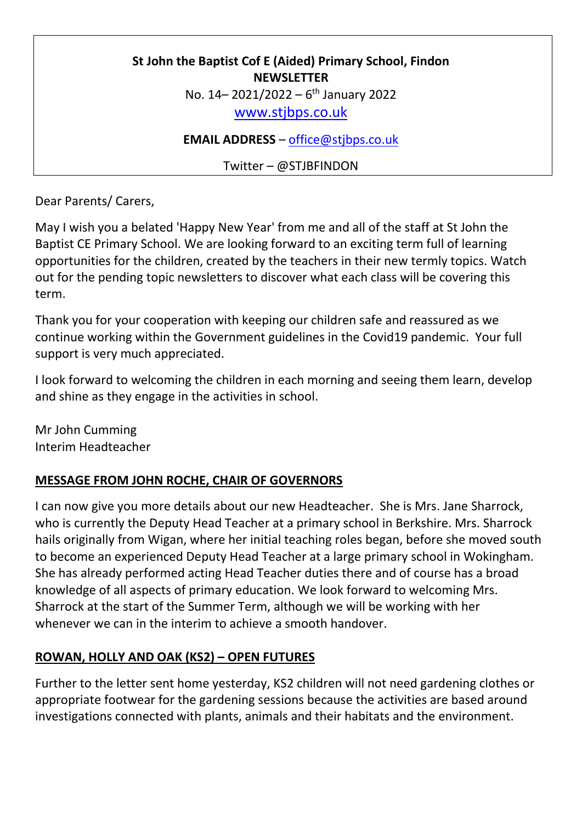# **St John the Baptist Cof E (Aided) Primary School, Findon NEWSLETTER** No. 14 - 2021/2022 - 6<sup>th</sup> January 2022 [www.stjbps.co.uk](http://www.stjbps.co.uk/)

**EMAIL ADDRESS** – [office@stjbps.co.uk](mailto:office@stjbps.co.uk)

Twitter – @STJBFINDON

Dear Parents/ Carers,

May I wish you a belated 'Happy New Year' from me and all of the staff at St John the Baptist CE Primary School. We are looking forward to an exciting term full of learning opportunities for the children, created by the teachers in their new termly topics. Watch out for the pending topic newsletters to discover what each class will be covering this term.

Thank you for your cooperation with keeping our children safe and reassured as we continue working within the Government guidelines in the Covid19 pandemic. Your full support is very much appreciated.

I look forward to welcoming the children in each morning and seeing them learn, develop and shine as they engage in the activities in school.

Mr John Cumming Interim Headteacher

## **MESSAGE FROM JOHN ROCHE, CHAIR OF GOVERNORS**

I can now give you more details about our new Headteacher. She is Mrs. Jane Sharrock, who is currently the Deputy Head Teacher at a primary school in Berkshire. Mrs. Sharrock hails originally from Wigan, where her initial teaching roles began, before she moved south to become an experienced Deputy Head Teacher at a large primary school in Wokingham. She has already performed acting Head Teacher duties there and of course has a broad knowledge of all aspects of primary education. We look forward to welcoming Mrs. Sharrock at the start of the Summer Term, although we will be working with her whenever we can in the interim to achieve a smooth handover.

# **ROWAN, HOLLY AND OAK (KS2) – OPEN FUTURES**

Further to the letter sent home yesterday, KS2 children will not need gardening clothes or appropriate footwear for the gardening sessions because the activities are based around investigations connected with plants, animals and their habitats and the environment.